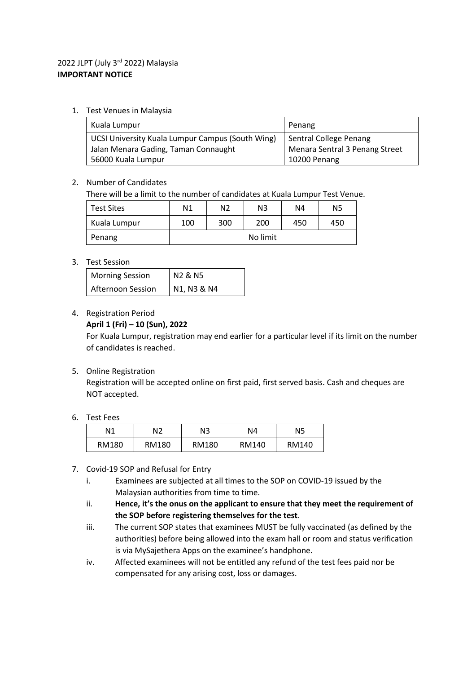## 2022 JLPT (July 3rd 2022) Malaysia **IMPORTANT NOTICE**

1. Test Venues in Malaysia

| Kuala Lumpur                                     | Penang                         |  |
|--------------------------------------------------|--------------------------------|--|
| UCSI University Kuala Lumpur Campus (South Wing) | Sentral College Penang         |  |
| Jalan Menara Gading, Taman Connaught             | Menara Sentral 3 Penang Street |  |
| 56000 Kuala Lumpur                               | 10200 Penang                   |  |

#### 2. Number of Candidates

There will be a limit to the number of candidates at Kuala Lumpur Test Venue.

| <b>Test Sites</b> | N <sub>1</sub> | N2  | N <sub>3</sub> | N4  | N5  |
|-------------------|----------------|-----|----------------|-----|-----|
| Kuala Lumpur      | 100            | 300 | 200            | 450 | 450 |
| Penang            |                |     | No limit       |     |     |

#### 3. Test Session

| <b>Morning Session</b> | N2 & N5     |  |
|------------------------|-------------|--|
| Afternoon Session      | N1, N3 & N4 |  |

#### 4. Registration Period

#### **April 1 (Fri) – 10 (Sun), 2022**

For Kuala Lumpur, registration may end earlier for a particular level if its limit on the number of candidates is reached.

### 5. Online Registration

Registration will be accepted online on first paid, first served basis. Cash and cheques are NOT accepted.

#### 6. Test Fees

| Ν1    | N2    | N3    | N4    | N5    |
|-------|-------|-------|-------|-------|
| RM180 | RM180 | RM180 | RM140 | RM140 |

- 7. Covid-19 SOP and Refusal for Entry
	- i. Examinees are subjected at all times to the SOP on COVID-19 issued by the Malaysian authorities from time to time.
	- ii. **Hence, it's the onus on the applicant to ensure that they meet the requirement of the SOP before registering themselves for the test**.
	- iii. The current SOP states that examinees MUST be fully vaccinated (as defined by the authorities) before being allowed into the exam hall or room and status verification is via MySajethera Apps on the examinee's handphone.
	- iv. Affected examinees will not be entitled any refund of the test fees paid nor be compensated for any arising cost, loss or damages.